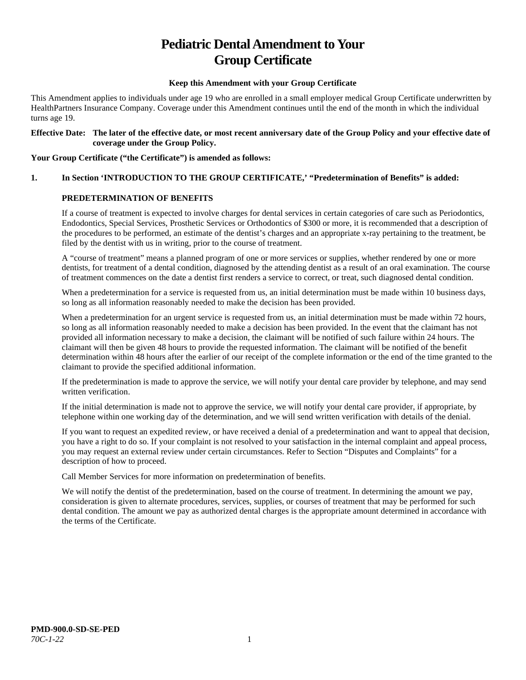# **Pediatric Dental Amendment to Your Group Certificate**

#### **Keep this Amendment with your Group Certificate**

This Amendment applies to individuals under age 19 who are enrolled in a small employer medical Group Certificate underwritten by HealthPartners Insurance Company. Coverage under this Amendment continues until the end of the month in which the individual turns age 19.

#### **Effective Date: The later of the effective date, or most recent anniversary date of the Group Policy and your effective date of coverage under the Group Policy.**

#### **Your Group Certificate ("the Certificate") is amended as follows:**

# **1. In Section 'INTRODUCTION TO THE GROUP CERTIFICATE,' "Predetermination of Benefits" is added:**

#### **PREDETERMINATION OF BENEFITS**

If a course of treatment is expected to involve charges for dental services in certain categories of care such as Periodontics, Endodontics, Special Services, Prosthetic Services or Orthodontics of \$300 or more, it is recommended that a description of the procedures to be performed, an estimate of the dentist's charges and an appropriate x-ray pertaining to the treatment, be filed by the dentist with us in writing, prior to the course of treatment.

A "course of treatment" means a planned program of one or more services or supplies, whether rendered by one or more dentists, for treatment of a dental condition, diagnosed by the attending dentist as a result of an oral examination. The course of treatment commences on the date a dentist first renders a service to correct, or treat, such diagnosed dental condition.

When a predetermination for a service is requested from us, an initial determination must be made within 10 business days, so long as all information reasonably needed to make the decision has been provided.

When a predetermination for an urgent service is requested from us, an initial determination must be made within 72 hours, so long as all information reasonably needed to make a decision has been provided. In the event that the claimant has not provided all information necessary to make a decision, the claimant will be notified of such failure within 24 hours. The claimant will then be given 48 hours to provide the requested information. The claimant will be notified of the benefit determination within 48 hours after the earlier of our receipt of the complete information or the end of the time granted to the claimant to provide the specified additional information.

If the predetermination is made to approve the service, we will notify your dental care provider by telephone, and may send written verification.

If the initial determination is made not to approve the service, we will notify your dental care provider, if appropriate, by telephone within one working day of the determination, and we will send written verification with details of the denial.

If you want to request an expedited review, or have received a denial of a predetermination and want to appeal that decision, you have a right to do so. If your complaint is not resolved to your satisfaction in the internal complaint and appeal process, you may request an external review under certain circumstances. Refer to Section "Disputes and Complaints" for a description of how to proceed.

Call Member Services for more information on predetermination of benefits.

We will notify the dentist of the predetermination, based on the course of treatment. In determining the amount we pay, consideration is given to alternate procedures, services, supplies, or courses of treatment that may be performed for such dental condition. The amount we pay as authorized dental charges is the appropriate amount determined in accordance with the terms of the Certificate.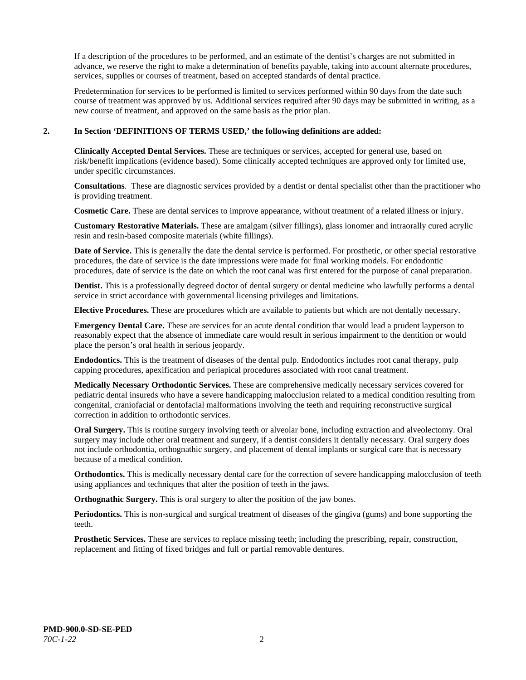If a description of the procedures to be performed, and an estimate of the dentist's charges are not submitted in advance, we reserve the right to make a determination of benefits payable, taking into account alternate procedures, services, supplies or courses of treatment, based on accepted standards of dental practice.

Predetermination for services to be performed is limited to services performed within 90 days from the date such course of treatment was approved by us. Additional services required after 90 days may be submitted in writing, as a new course of treatment, and approved on the same basis as the prior plan.

#### **2. In Section 'DEFINITIONS OF TERMS USED,' the following definitions are added:**

**Clinically Accepted Dental Services.** These are techniques or services, accepted for general use, based on risk/benefit implications (evidence based). Some clinically accepted techniques are approved only for limited use, under specific circumstances.

**Consultations**. These are diagnostic services provided by a dentist or dental specialist other than the practitioner who is providing treatment.

**Cosmetic Care.** These are dental services to improve appearance, without treatment of a related illness or injury.

**Customary Restorative Materials.** These are amalgam (silver fillings), glass ionomer and intraorally cured acrylic resin and resin-based composite materials (white fillings).

**Date of Service.** This is generally the date the dental service is performed. For prosthetic, or other special restorative procedures, the date of service is the date impressions were made for final working models. For endodontic procedures, date of service is the date on which the root canal was first entered for the purpose of canal preparation.

**Dentist.** This is a professionally degreed doctor of dental surgery or dental medicine who lawfully performs a dental service in strict accordance with governmental licensing privileges and limitations.

**Elective Procedures.** These are procedures which are available to patients but which are not dentally necessary.

**Emergency Dental Care.** These are services for an acute dental condition that would lead a prudent layperson to reasonably expect that the absence of immediate care would result in serious impairment to the dentition or would place the person's oral health in serious jeopardy.

**Endodontics.** This is the treatment of diseases of the dental pulp. Endodontics includes root canal therapy, pulp capping procedures, apexification and periapical procedures associated with root canal treatment.

**Medically Necessary Orthodontic Services.** These are comprehensive medically necessary services covered for pediatric dental insureds who have a severe handicapping malocclusion related to a medical condition resulting from congenital, craniofacial or dentofacial malformations involving the teeth and requiring reconstructive surgical correction in addition to orthodontic services.

**Oral Surgery.** This is routine surgery involving teeth or alveolar bone, including extraction and alveolectomy. Oral surgery may include other oral treatment and surgery, if a dentist considers it dentally necessary. Oral surgery does not include orthodontia, orthognathic surgery, and placement of dental implants or surgical care that is necessary because of a medical condition.

**Orthodontics.** This is medically necessary dental care for the correction of severe handicapping malocclusion of teeth using appliances and techniques that alter the position of teeth in the jaws.

**Orthognathic Surgery.** This is oral surgery to alter the position of the jaw bones.

**Periodontics.** This is non-surgical and surgical treatment of diseases of the gingiva (gums) and bone supporting the teeth.

**Prosthetic Services.** These are services to replace missing teeth; including the prescribing, repair, construction, replacement and fitting of fixed bridges and full or partial removable dentures.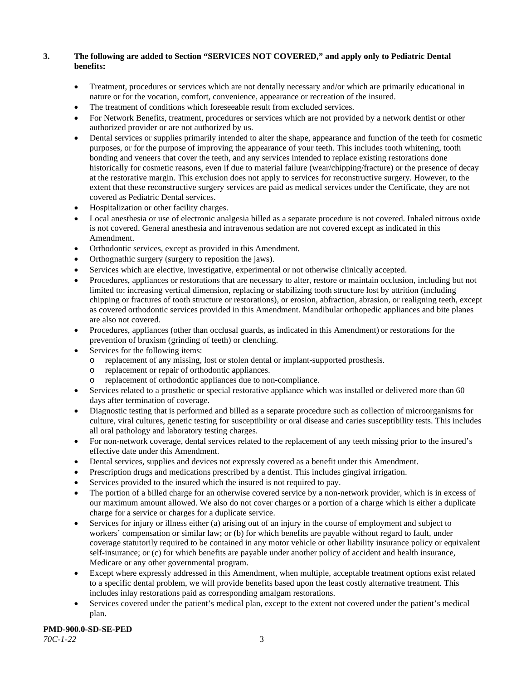# **3. The following are added to Section "SERVICES NOT COVERED," and apply only to Pediatric Dental benefits:**

- Treatment, procedures or services which are not dentally necessary and/or which are primarily educational in nature or for the vocation, comfort, convenience, appearance or recreation of the insured.
- The treatment of conditions which foreseeable result from excluded services.
- For Network Benefits, treatment, procedures or services which are not provided by a network dentist or other authorized provider or are not authorized by us.
- Dental services or supplies primarily intended to alter the shape, appearance and function of the teeth for cosmetic purposes, or for the purpose of improving the appearance of your teeth. This includes tooth whitening, tooth bonding and veneers that cover the teeth, and any services intended to replace existing restorations done historically for cosmetic reasons, even if due to material failure (wear/chipping/fracture) or the presence of decay at the restorative margin. This exclusion does not apply to services for reconstructive surgery. However, to the extent that these reconstructive surgery services are paid as medical services under the Certificate, they are not covered as Pediatric Dental services.
- Hospitalization or other facility charges.
- Local anesthesia or use of electronic analgesia billed as a separate procedure is not covered. Inhaled nitrous oxide is not covered. General anesthesia and intravenous sedation are not covered except as indicated in this Amendment.
- Orthodontic services, except as provided in this Amendment.
- Orthognathic surgery (surgery to reposition the jaws).
- Services which are elective, investigative, experimental or not otherwise clinically accepted.
- Procedures, appliances or restorations that are necessary to alter, restore or maintain occlusion, including but not limited to: increasing vertical dimension, replacing or stabilizing tooth structure lost by attrition (including chipping or fractures of tooth structure or restorations), or erosion, abfraction, abrasion, or realigning teeth, except as covered orthodontic services provided in this Amendment. Mandibular orthopedic appliances and bite planes are also not covered.
- Procedures, appliances (other than occlusal guards, as indicated in this Amendment) or restorations for the prevention of bruxism (grinding of teeth) or clenching.
- Services for the following items:
	- o replacement of any missing, lost or stolen dental or implant-supported prosthesis.
	- replacement or repair of orthodontic appliances.
	- replacement of orthodontic appliances due to non-compliance.
- Services related to a prosthetic or special restorative appliance which was installed or delivered more than 60 days after termination of coverage.
- Diagnostic testing that is performed and billed as a separate procedure such as collection of microorganisms for culture, viral cultures, genetic testing for susceptibility or oral disease and caries susceptibility tests. This includes all oral pathology and laboratory testing charges.
- For non-network coverage, dental services related to the replacement of any teeth missing prior to the insured's effective date under this Amendment.
- Dental services, supplies and devices not expressly covered as a benefit under this Amendment.
- Prescription drugs and medications prescribed by a dentist. This includes gingival irrigation.
- Services provided to the insured which the insured is not required to pay.
- The portion of a billed charge for an otherwise covered service by a non-network provider, which is in excess of our maximum amount allowed. We also do not cover charges or a portion of a charge which is either a duplicate charge for a service or charges for a duplicate service.
- Services for injury or illness either (a) arising out of an injury in the course of employment and subject to workers' compensation or similar law; or (b) for which benefits are payable without regard to fault, under coverage statutorily required to be contained in any motor vehicle or other liability insurance policy or equivalent self-insurance; or (c) for which benefits are payable under another policy of accident and health insurance, Medicare or any other governmental program.
- Except where expressly addressed in this Amendment, when multiple, acceptable treatment options exist related to a specific dental problem, we will provide benefits based upon the least costly alternative treatment. This includes inlay restorations paid as corresponding amalgam restorations.
- Services covered under the patient's medical plan, except to the extent not covered under the patient's medical plan.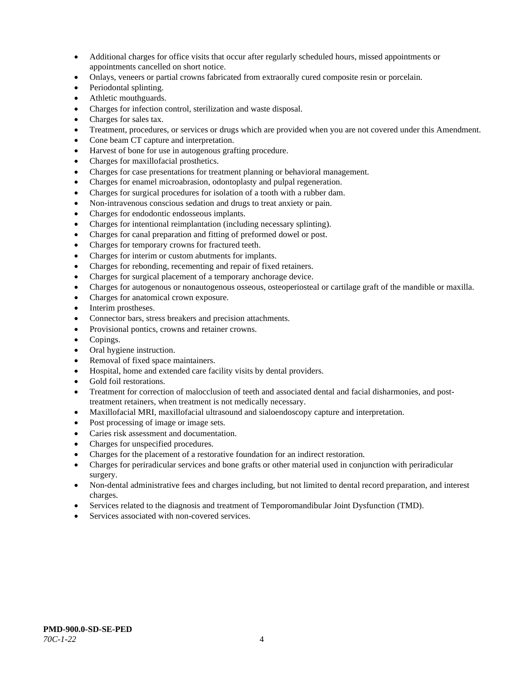- Additional charges for office visits that occur after regularly scheduled hours, missed appointments or appointments cancelled on short notice.
- Onlays, veneers or partial crowns fabricated from extraorally cured composite resin or porcelain.
- Periodontal splinting.
- Athletic mouthguards.
- Charges for infection control, sterilization and waste disposal.
- Charges for sales tax.
- Treatment, procedures, or services or drugs which are provided when you are not covered under this Amendment.
- Cone beam CT capture and interpretation.
- Harvest of bone for use in autogenous grafting procedure.
- Charges for maxillofacial prosthetics.
- Charges for case presentations for treatment planning or behavioral management.
- Charges for enamel microabrasion, odontoplasty and pulpal regeneration.
- Charges for surgical procedures for isolation of a tooth with a rubber dam.
- Non-intravenous conscious sedation and drugs to treat anxiety or pain.
- Charges for endodontic endosseous implants.
- Charges for intentional reimplantation (including necessary splinting).
- Charges for canal preparation and fitting of preformed dowel or post.
- Charges for temporary crowns for fractured teeth.
- Charges for interim or custom abutments for implants.
- Charges for rebonding, recementing and repair of fixed retainers.
- Charges for surgical placement of a temporary anchorage device.
- Charges for autogenous or nonautogenous osseous, osteoperiosteal or cartilage graft of the mandible or maxilla.
- Charges for anatomical crown exposure.
- Interim prostheses.
- Connector bars, stress breakers and precision attachments.
- Provisional pontics, crowns and retainer crowns.
- Copings.
- Oral hygiene instruction.
- Removal of fixed space maintainers.
- Hospital, home and extended care facility visits by dental providers.
- Gold foil restorations.
- Treatment for correction of malocclusion of teeth and associated dental and facial disharmonies, and posttreatment retainers, when treatment is not medically necessary.
- Maxillofacial MRI, maxillofacial ultrasound and sialoendoscopy capture and interpretation.
- Post processing of image or image sets.
- Caries risk assessment and documentation.
- Charges for unspecified procedures.
- Charges for the placement of a restorative foundation for an indirect restoration.
- Charges for periradicular services and bone grafts or other material used in conjunction with periradicular surgery.
- Non-dental administrative fees and charges including, but not limited to dental record preparation, and interest charges.
- Services related to the diagnosis and treatment of Temporomandibular Joint Dysfunction (TMD).
- Services associated with non-covered services.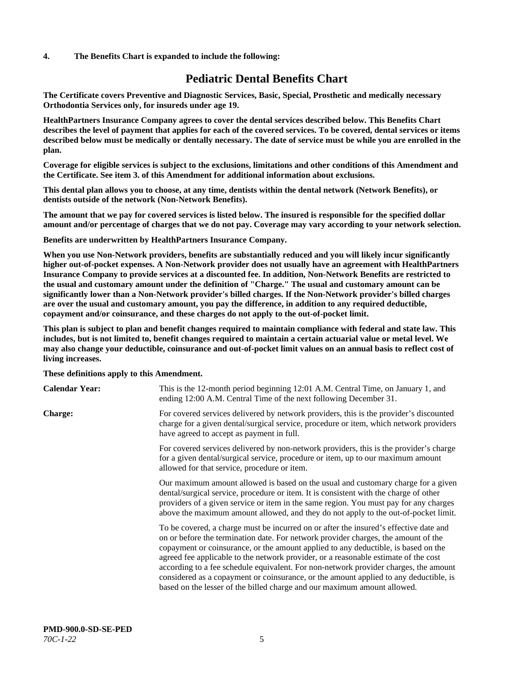#### **4. The Benefits Chart is expanded to include the following:**

# **Pediatric Dental Benefits Chart**

**The Certificate covers Preventive and Diagnostic Services, Basic, Special, Prosthetic and medically necessary Orthodontia Services only, for insureds under age 19.**

**HealthPartners Insurance Company agrees to cover the dental services described below. This Benefits Chart describes the level of payment that applies for each of the covered services. To be covered, dental services or items described below must be medically or dentally necessary. The date of service must be while you are enrolled in the plan.**

**Coverage for eligible services is subject to the exclusions, limitations and other conditions of this Amendment and the Certificate. See item 3. of this Amendment for additional information about exclusions.**

**This dental plan allows you to choose, at any time, dentists within the dental network (Network Benefits), or dentists outside of the network (Non-Network Benefits).**

**The amount that we pay for covered services is listed below. The insured is responsible for the specified dollar amount and/or percentage of charges that we do not pay. Coverage may vary according to your network selection.**

**Benefits are underwritten by HealthPartners Insurance Company.**

**When you use Non-Network providers, benefits are substantially reduced and you will likely incur significantly higher out-of-pocket expenses. A Non-Network provider does not usually have an agreement with HealthPartners Insurance Company to provide services at a discounted fee. In addition, Non-Network Benefits are restricted to the usual and customary amount under the definition of "Charge." The usual and customary amount can be significantly lower than a Non-Network provider's billed charges. If the Non-Network provider's billed charges are over the usual and customary amount, you pay the difference, in addition to any required deductible, copayment and/or coinsurance, and these charges do not apply to the out-of-pocket limit.**

**This plan is subject to plan and benefit changes required to maintain compliance with federal and state law. This includes, but is not limited to, benefit changes required to maintain a certain actuarial value or metal level. We may also change your deductible, coinsurance and out-of-pocket limit values on an annual basis to reflect cost of living increases.**

#### **These definitions apply to this Amendment.**

| <b>Calendar Year:</b> | This is the 12-month period beginning 12:01 A.M. Central Time, on January 1, and<br>ending 12:00 A.M. Central Time of the next following December 31.                                                                                                                                                                                                                                                                                                                                                                                                                                                                 |
|-----------------------|-----------------------------------------------------------------------------------------------------------------------------------------------------------------------------------------------------------------------------------------------------------------------------------------------------------------------------------------------------------------------------------------------------------------------------------------------------------------------------------------------------------------------------------------------------------------------------------------------------------------------|
| <b>Charge:</b>        | For covered services delivered by network providers, this is the provider's discounted<br>charge for a given dental/surgical service, procedure or item, which network providers<br>have agreed to accept as payment in full.                                                                                                                                                                                                                                                                                                                                                                                         |
|                       | For covered services delivered by non-network providers, this is the provider's charge<br>for a given dental/surgical service, procedure or item, up to our maximum amount<br>allowed for that service, procedure or item.                                                                                                                                                                                                                                                                                                                                                                                            |
|                       | Our maximum amount allowed is based on the usual and customary charge for a given<br>dental/surgical service, procedure or item. It is consistent with the charge of other<br>providers of a given service or item in the same region. You must pay for any charges<br>above the maximum amount allowed, and they do not apply to the out-of-pocket limit.                                                                                                                                                                                                                                                            |
|                       | To be covered, a charge must be incurred on or after the insured's effective date and<br>on or before the termination date. For network provider charges, the amount of the<br>copayment or coinsurance, or the amount applied to any deductible, is based on the<br>agreed fee applicable to the network provider, or a reasonable estimate of the cost<br>according to a fee schedule equivalent. For non-network provider charges, the amount<br>considered as a copayment or coinsurance, or the amount applied to any deductible, is<br>based on the lesser of the billed charge and our maximum amount allowed. |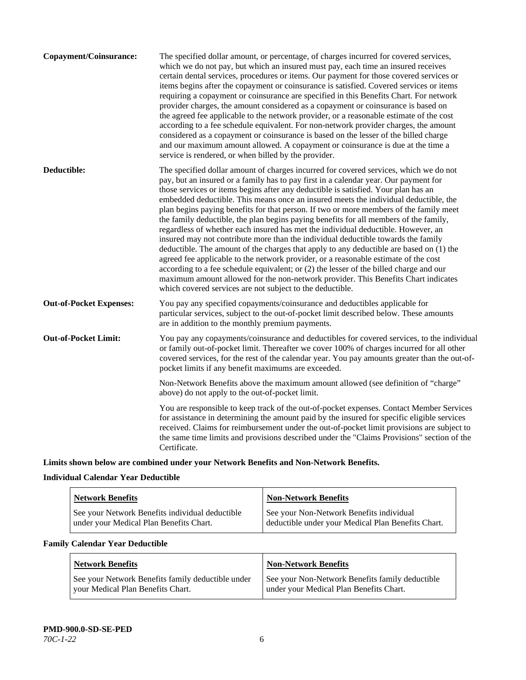| The specified dollar amount, or percentage, of charges incurred for covered services,<br>which we do not pay, but which an insured must pay, each time an insured receives<br>certain dental services, procedures or items. Our payment for those covered services or<br>items begins after the copayment or coinsurance is satisfied. Covered services or items<br>requiring a copayment or coinsurance are specified in this Benefits Chart. For network<br>provider charges, the amount considered as a copayment or coinsurance is based on<br>the agreed fee applicable to the network provider, or a reasonable estimate of the cost<br>according to a fee schedule equivalent. For non-network provider charges, the amount<br>considered as a copayment or coinsurance is based on the lesser of the billed charge<br>and our maximum amount allowed. A copayment or coinsurance is due at the time a<br>service is rendered, or when billed by the provider.                                                                                                                                                                                   |
|---------------------------------------------------------------------------------------------------------------------------------------------------------------------------------------------------------------------------------------------------------------------------------------------------------------------------------------------------------------------------------------------------------------------------------------------------------------------------------------------------------------------------------------------------------------------------------------------------------------------------------------------------------------------------------------------------------------------------------------------------------------------------------------------------------------------------------------------------------------------------------------------------------------------------------------------------------------------------------------------------------------------------------------------------------------------------------------------------------------------------------------------------------|
| The specified dollar amount of charges incurred for covered services, which we do not<br>pay, but an insured or a family has to pay first in a calendar year. Our payment for<br>those services or items begins after any deductible is satisfied. Your plan has an<br>embedded deductible. This means once an insured meets the individual deductible, the<br>plan begins paying benefits for that person. If two or more members of the family meet<br>the family deductible, the plan begins paying benefits for all members of the family,<br>regardless of whether each insured has met the individual deductible. However, an<br>insured may not contribute more than the individual deductible towards the family<br>deductible. The amount of the charges that apply to any deductible are based on (1) the<br>agreed fee applicable to the network provider, or a reasonable estimate of the cost<br>according to a fee schedule equivalent; or (2) the lesser of the billed charge and our<br>maximum amount allowed for the non-network provider. This Benefits Chart indicates<br>which covered services are not subject to the deductible. |
| You pay any specified copayments/coinsurance and deductibles applicable for<br>particular services, subject to the out-of-pocket limit described below. These amounts<br>are in addition to the monthly premium payments.                                                                                                                                                                                                                                                                                                                                                                                                                                                                                                                                                                                                                                                                                                                                                                                                                                                                                                                               |
| You pay any copayments/coinsurance and deductibles for covered services, to the individual<br>or family out-of-pocket limit. Thereafter we cover 100% of charges incurred for all other<br>covered services, for the rest of the calendar year. You pay amounts greater than the out-of-<br>pocket limits if any benefit maximums are exceeded.                                                                                                                                                                                                                                                                                                                                                                                                                                                                                                                                                                                                                                                                                                                                                                                                         |
| Non-Network Benefits above the maximum amount allowed (see definition of "charge"<br>above) do not apply to the out-of-pocket limit.                                                                                                                                                                                                                                                                                                                                                                                                                                                                                                                                                                                                                                                                                                                                                                                                                                                                                                                                                                                                                    |
| You are responsible to keep track of the out-of-pocket expenses. Contact Member Services<br>for assistance in determining the amount paid by the insured for specific eligible services<br>received. Claims for reimbursement under the out-of-pocket limit provisions are subject to<br>the same time limits and provisions described under the "Claims Provisions" section of the<br>Certificate.                                                                                                                                                                                                                                                                                                                                                                                                                                                                                                                                                                                                                                                                                                                                                     |
|                                                                                                                                                                                                                                                                                                                                                                                                                                                                                                                                                                                                                                                                                                                                                                                                                                                                                                                                                                                                                                                                                                                                                         |

**Limits shown below are combined under your Network Benefits and Non-Network Benefits.**

# **Individual Calendar Year Deductible**

| <b>Network Benefits</b>                                                                    | <b>Non-Network Benefits</b>                                                                    |
|--------------------------------------------------------------------------------------------|------------------------------------------------------------------------------------------------|
| See your Network Benefits individual deductible<br>under your Medical Plan Benefits Chart. | See your Non-Network Benefits individual<br>deductible under your Medical Plan Benefits Chart. |

# **Family Calendar Year Deductible**

| Network Benefits                                                                       | <b>Non-Network Benefits</b>                                                                |
|----------------------------------------------------------------------------------------|--------------------------------------------------------------------------------------------|
| See your Network Benefits family deductible under<br>vour Medical Plan Benefits Chart. | See your Non-Network Benefits family deductible<br>under your Medical Plan Benefits Chart. |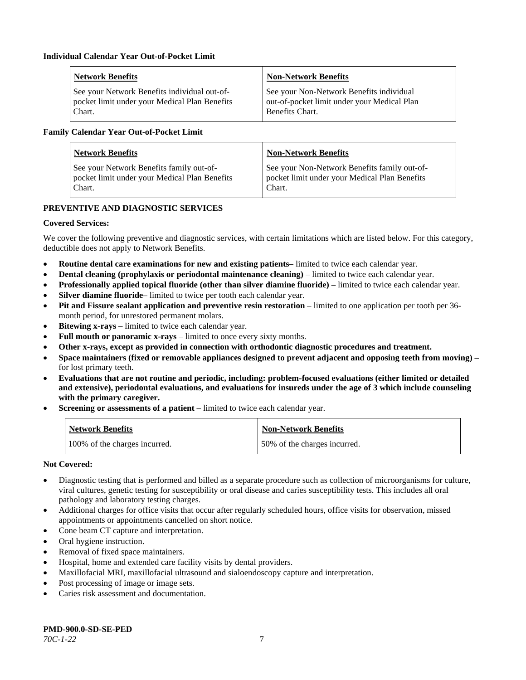| <b>Network Benefits</b>                       | <b>Non-Network Benefits</b>                 |
|-----------------------------------------------|---------------------------------------------|
| See your Network Benefits individual out-of-  | See your Non-Network Benefits individual    |
| pocket limit under your Medical Plan Benefits | out-of-pocket limit under your Medical Plan |
| Chart.                                        | Benefits Chart.                             |

#### **Family Calendar Year Out-of-Pocket Limit**

| <b>Network Benefits</b>                       | <b>Non-Network Benefits</b>                   |
|-----------------------------------------------|-----------------------------------------------|
| See your Network Benefits family out-of-      | See your Non-Network Benefits family out-of-  |
| pocket limit under your Medical Plan Benefits | pocket limit under your Medical Plan Benefits |
| Chart.                                        | Chart.                                        |

# **PREVENTIVE AND DIAGNOSTIC SERVICES**

#### **Covered Services:**

We cover the following preventive and diagnostic services, with certain limitations which are listed below. For this category, deductible does not apply to Network Benefits.

- **Routine dental care examinations for new and existing patients** limited to twice each calendar year.
- **Dental cleaning (prophylaxis or periodontal maintenance cleaning)** limited to twice each calendar year.
- **Professionally applied topical fluoride (other than silver diamine fluoride)** limited to twice each calendar year.
- **Silver diamine fluoride** limited to twice per tooth each calendar year.
- **Pit and Fissure sealant application and preventive resin restoration** limited to one application per tooth per 36 month period, for unrestored permanent molars.
- **Bitewing x-rays** limited to twice each calendar year.
- **Full mouth or panoramic x-rays** limited to once every sixty months.
- **Other x-rays, except as provided in connection with orthodontic diagnostic procedures and treatment.**
- **Space maintainers (fixed or removable appliances designed to prevent adjacent and opposing teeth from moving)** for lost primary teeth.
- **Evaluations that are not routine and periodic, including: problem-focused evaluations (either limited or detailed and extensive), periodontal evaluations, and evaluations for insureds under the age of 3 which include counseling with the primary caregiver.**
- **Screening or assessments of a patient** limited to twice each calendar year.

| <b>Network Benefits</b>       | <b>Non-Network Benefits</b>  |
|-------------------------------|------------------------------|
| 100% of the charges incurred. | 50% of the charges incurred. |

- Diagnostic testing that is performed and billed as a separate procedure such as collection of microorganisms for culture, viral cultures, genetic testing for susceptibility or oral disease and caries susceptibility tests. This includes all oral pathology and laboratory testing charges.
- Additional charges for office visits that occur after regularly scheduled hours, office visits for observation, missed appointments or appointments cancelled on short notice.
- Cone beam CT capture and interpretation.
- Oral hygiene instruction.
- Removal of fixed space maintainers.
- Hospital, home and extended care facility visits by dental providers.
- Maxillofacial MRI, maxillofacial ultrasound and sialoendoscopy capture and interpretation.
- Post processing of image or image sets.
- Caries risk assessment and documentation.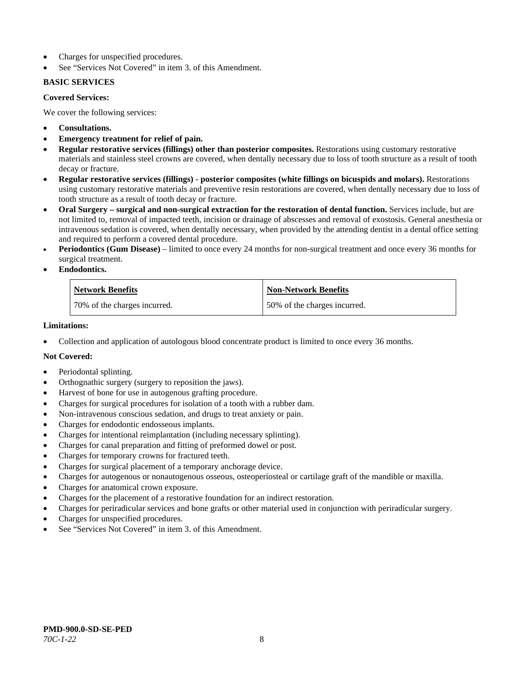- Charges for unspecified procedures.
- See "Services Not Covered" in item 3. of this Amendment.

# **BASIC SERVICES**

#### **Covered Services:**

We cover the following services:

- **Consultations.**
- **Emergency treatment for relief of pain.**
- **Regular restorative services (fillings) other than posterior composites.** Restorations using customary restorative materials and stainless steel crowns are covered, when dentally necessary due to loss of tooth structure as a result of tooth decay or fracture.
- **Regular restorative services (fillings) - posterior composites (white fillings on bicuspids and molars).** Restorations using customary restorative materials and preventive resin restorations are covered, when dentally necessary due to loss of tooth structure as a result of tooth decay or fracture.
- **Oral Surgery – surgical and non-surgical extraction for the restoration of dental function.** Services include, but are not limited to, removal of impacted teeth, incision or drainage of abscesses and removal of exostosis. General anesthesia or intravenous sedation is covered, when dentally necessary, when provided by the attending dentist in a dental office setting and required to perform a covered dental procedure.
- **Periodontics (Gum Disease)** limited to once every 24 months for non-surgical treatment and once every 36 months for surgical treatment.
- **Endodontics.**

| <b>Network Benefits</b>      | <b>Non-Network Benefits</b>  |
|------------------------------|------------------------------|
| 70% of the charges incurred. | 50% of the charges incurred. |

#### **Limitations:**

• Collection and application of autologous blood concentrate product is limited to once every 36 months.

- Periodontal splinting.
- Orthognathic surgery (surgery to reposition the jaws).
- Harvest of bone for use in autogenous grafting procedure.
- Charges for surgical procedures for isolation of a tooth with a rubber dam.
- Non-intravenous conscious sedation, and drugs to treat anxiety or pain.
- Charges for endodontic endosseous implants.
- Charges for intentional reimplantation (including necessary splinting).
- Charges for canal preparation and fitting of preformed dowel or post.
- Charges for temporary crowns for fractured teeth.
- Charges for surgical placement of a temporary anchorage device.
- Charges for autogenous or nonautogenous osseous, osteoperiosteal or cartilage graft of the mandible or maxilla.
- Charges for anatomical crown exposure.
- Charges for the placement of a restorative foundation for an indirect restoration.
- Charges for periradicular services and bone grafts or other material used in conjunction with periradicular surgery.
- Charges for unspecified procedures.
- See "Services Not Covered" in item 3. of this Amendment.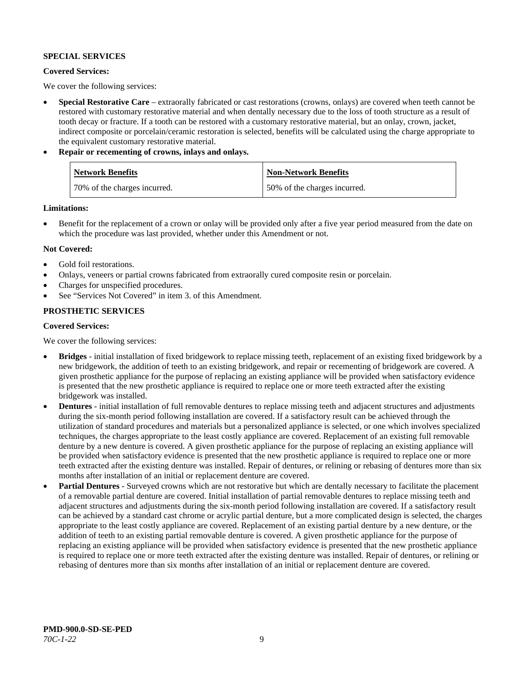# **SPECIAL SERVICES**

#### **Covered Services:**

We cover the following services:

- **Special Restorative Care** extraorally fabricated or cast restorations (crowns, onlays) are covered when teeth cannot be restored with customary restorative material and when dentally necessary due to the loss of tooth structure as a result of tooth decay or fracture. If a tooth can be restored with a customary restorative material, but an onlay, crown, jacket, indirect composite or porcelain/ceramic restoration is selected, benefits will be calculated using the charge appropriate to the equivalent customary restorative material.
- **Repair or recementing of crowns, inlays and onlays.**

| <b>Network Benefits</b>       | <b>Non-Network Benefits</b>  |
|-------------------------------|------------------------------|
| 170% of the charges incurred. | 50% of the charges incurred. |

**Limitations:**

• Benefit for the replacement of a crown or onlay will be provided only after a five year period measured from the date on which the procedure was last provided, whether under this Amendment or not.

# **Not Covered:**

- Gold foil restorations.
- Onlays, veneers or partial crowns fabricated from extraorally cured composite resin or porcelain.
- Charges for unspecified procedures.
- See "Services Not Covered" in item 3. of this Amendment.

# **PROSTHETIC SERVICES**

#### **Covered Services:**

We cover the following services:

- **Bridges** initial installation of fixed bridgework to replace missing teeth, replacement of an existing fixed bridgework by a new bridgework, the addition of teeth to an existing bridgework, and repair or recementing of bridgework are covered. A given prosthetic appliance for the purpose of replacing an existing appliance will be provided when satisfactory evidence is presented that the new prosthetic appliance is required to replace one or more teeth extracted after the existing bridgework was installed.
- **Dentures** initial installation of full removable dentures to replace missing teeth and adjacent structures and adjustments during the six-month period following installation are covered. If a satisfactory result can be achieved through the utilization of standard procedures and materials but a personalized appliance is selected, or one which involves specialized techniques, the charges appropriate to the least costly appliance are covered. Replacement of an existing full removable denture by a new denture is covered. A given prosthetic appliance for the purpose of replacing an existing appliance will be provided when satisfactory evidence is presented that the new prosthetic appliance is required to replace one or more teeth extracted after the existing denture was installed. Repair of dentures, or relining or rebasing of dentures more than six months after installation of an initial or replacement denture are covered.
- **Partial Dentures** Surveyed crowns which are not restorative but which are dentally necessary to facilitate the placement of a removable partial denture are covered. Initial installation of partial removable dentures to replace missing teeth and adjacent structures and adjustments during the six-month period following installation are covered. If a satisfactory result can be achieved by a standard cast chrome or acrylic partial denture, but a more complicated design is selected, the charges appropriate to the least costly appliance are covered. Replacement of an existing partial denture by a new denture, or the addition of teeth to an existing partial removable denture is covered. A given prosthetic appliance for the purpose of replacing an existing appliance will be provided when satisfactory evidence is presented that the new prosthetic appliance is required to replace one or more teeth extracted after the existing denture was installed. Repair of dentures, or relining or rebasing of dentures more than six months after installation of an initial or replacement denture are covered.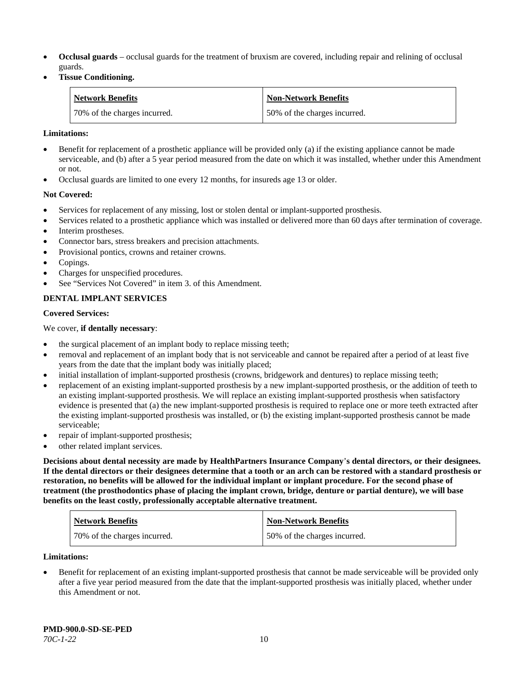- **Occlusal guards** occlusal guards for the treatment of bruxism are covered, including repair and relining of occlusal guards.
- **Tissue Conditioning.**

| <b>Network Benefits</b>      | <b>Non-Network Benefits</b>  |
|------------------------------|------------------------------|
| 70% of the charges incurred. | 50% of the charges incurred. |

#### **Limitations:**

- Benefit for replacement of a prosthetic appliance will be provided only (a) if the existing appliance cannot be made serviceable, and (b) after a 5 year period measured from the date on which it was installed, whether under this Amendment or not.
- Occlusal guards are limited to one every 12 months, for insureds age 13 or older.

#### **Not Covered:**

- Services for replacement of any missing, lost or stolen dental or implant-supported prosthesis.
- Services related to a prosthetic appliance which was installed or delivered more than 60 days after termination of coverage. Interim prostheses.
- Connector bars, stress breakers and precision attachments.
- Provisional pontics, crowns and retainer crowns.
- Copings.
- Charges for unspecified procedures.
- See "Services Not Covered" in item 3. of this Amendment.

# **DENTAL IMPLANT SERVICES**

#### **Covered Services:**

#### We cover, **if dentally necessary**:

- the surgical placement of an implant body to replace missing teeth;
- removal and replacement of an implant body that is not serviceable and cannot be repaired after a period of at least five years from the date that the implant body was initially placed;
- initial installation of implant-supported prosthesis (crowns, bridgework and dentures) to replace missing teeth;
- replacement of an existing implant-supported prosthesis by a new implant-supported prosthesis, or the addition of teeth to an existing implant-supported prosthesis. We will replace an existing implant-supported prosthesis when satisfactory evidence is presented that (a) the new implant-supported prosthesis is required to replace one or more teeth extracted after the existing implant-supported prosthesis was installed, or (b) the existing implant-supported prosthesis cannot be made serviceable;
- repair of implant-supported prosthesis;
- other related implant services.

**Decisions about dental necessity are made by HealthPartners Insurance Company**'**s dental directors, or their designees. If the dental directors or their designees determine that a tooth or an arch can be restored with a standard prosthesis or restoration, no benefits will be allowed for the individual implant or implant procedure. For the second phase of treatment (the prosthodontics phase of placing the implant crown, bridge, denture or partial denture), we will base benefits on the least costly, professionally acceptable alternative treatment.**

| <b>Network Benefits</b>      | <b>Non-Network Benefits</b>  |
|------------------------------|------------------------------|
| 70% of the charges incurred. | 50% of the charges incurred. |

#### **Limitations:**

• Benefit for replacement of an existing implant-supported prosthesis that cannot be made serviceable will be provided only after a five year period measured from the date that the implant-supported prosthesis was initially placed, whether under this Amendment or not.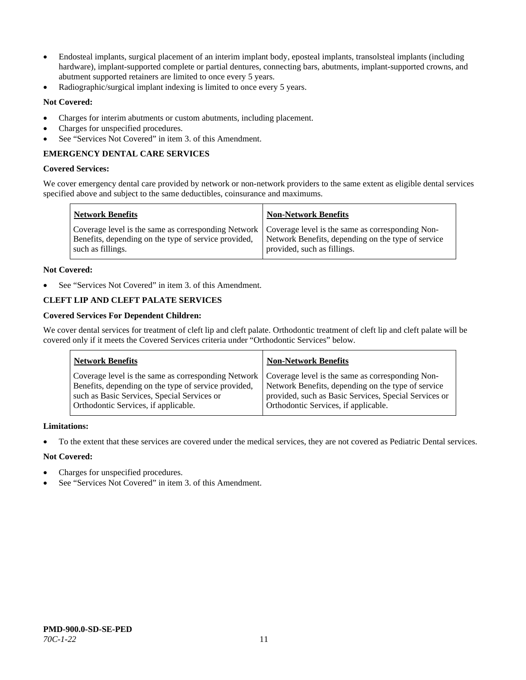- Endosteal implants, surgical placement of an interim implant body, eposteal implants, transolsteal implants (including hardware), implant-supported complete or partial dentures, connecting bars, abutments, implant-supported crowns, and abutment supported retainers are limited to once every 5 years.
- Radiographic/surgical implant indexing is limited to once every 5 years.

# **Not Covered:**

- Charges for interim abutments or custom abutments, including placement.
- Charges for unspecified procedures.
- See "Services Not Covered" in item 3. of this Amendment.

# **EMERGENCY DENTAL CARE SERVICES**

#### **Covered Services:**

We cover emergency dental care provided by network or non-network providers to the same extent as eligible dental services specified above and subject to the same deductibles, coinsurance and maximums.

| <b>Network Benefits</b>                                                                                                                                                             | <b>Non-Network Benefits</b>                                                       |
|-------------------------------------------------------------------------------------------------------------------------------------------------------------------------------------|-----------------------------------------------------------------------------------|
| Coverage level is the same as corresponding Network   Coverage level is the same as corresponding Non-<br>Benefits, depending on the type of service provided,<br>such as fillings. | Network Benefits, depending on the type of service<br>provided, such as fillings. |

#### **Not Covered:**

See "Services Not Covered" in item 3. of this Amendment.

# **CLEFT LIP AND CLEFT PALATE SERVICES**

# **Covered Services For Dependent Children:**

We cover dental services for treatment of cleft lip and cleft palate. Orthodontic treatment of cleft lip and cleft palate will be covered only if it meets the Covered Services criteria under "Orthodontic Services" below.

| <b>Network Benefits</b>                              | <b>Non-Network Benefits</b>                           |
|------------------------------------------------------|-------------------------------------------------------|
| Coverage level is the same as corresponding Network  | Coverage level is the same as corresponding Non-      |
| Benefits, depending on the type of service provided, | Network Benefits, depending on the type of service    |
| such as Basic Services, Special Services or          | provided, such as Basic Services, Special Services or |
| Orthodontic Services, if applicable.                 | Orthodontic Services, if applicable.                  |

#### **Limitations:**

• To the extent that these services are covered under the medical services, they are not covered as Pediatric Dental services.

- Charges for unspecified procedures.
- See "Services Not Covered" in item 3. of this Amendment.